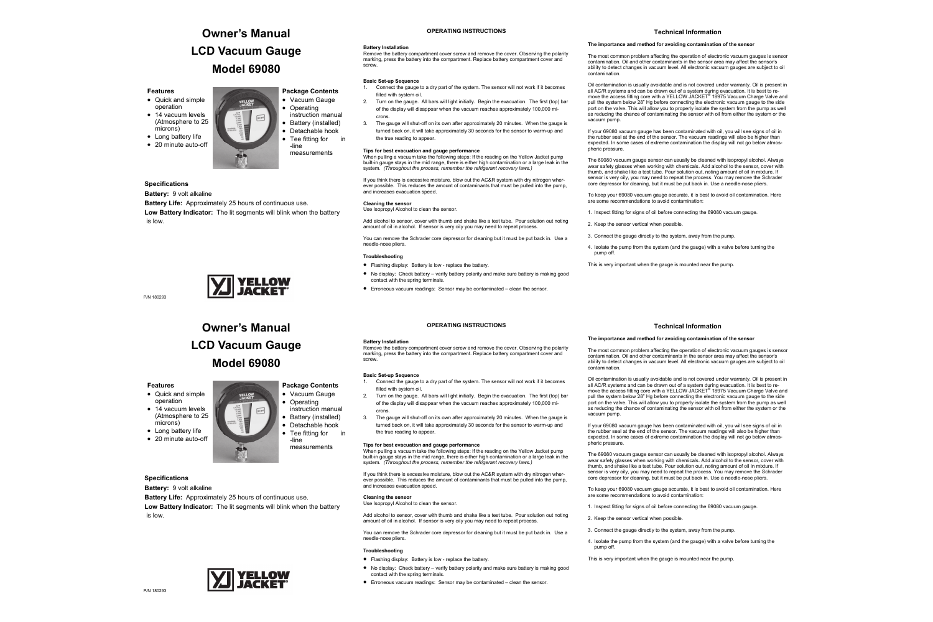### **OPERATING INSTRUCTIONS**

### **Battery Installation**

Remove the battery compartment cover screw and remove the cover. Observing the polarity marking, press the battery into the compartment. Replace battery compartment cover and screw.

### **Basic Set-up Sequence**

- 1. Connect the gauge to a dry part of the system. The sensor will not work if it becomes filled with system oil.
- 2. Turn on the gauge. All bars will light initially. Begin the evacuation. The first (top) bar of the display will disappear when the vacuum reaches approximately 100,000 microns.
- 3. The gauge will shut-off on its own after approximately 20 minutes. When the gauge is turned back on, it will take approximately 30 seconds for the sensor to warm-up and the true reading to appear.

If you think there is excessive moisture, blow out the AC&R system with dry nitrogen wherever possible. This reduces the amount of contaminants that must be pulled into the pump, and increases evacuation speed.

### **Tips for best evacuation and gauge performance**

When pulling a vacuum take the following steps: If the reading on the Yellow Jacket pump built-in gauge stays in the mid range, there is either high contamination or a large leak in the system. *(Throughout the process, remember the refrigerant recovery laws.)* 

### **Cleaning the sensor**

Use Isopropyl Alcohol to clean the sensor.

Add alcohol to sensor, cover with thumb and shake like a test tube. Pour solution out noting amount of oil in alcohol. If sensor is very oily you may need to repeat process.

You can remove the Schrader core depressor for cleaning but it must be put back in. Use a needle-nose pliers.

### **Troubleshooting**

- Flashing display: Battery is low replace the battery.
- No display: Check battery verify battery polarity and make sure battery is making good contact with the spring terminals.
- Erroneous vacuum readings: Sensor may be contaminated clean the sensor.

# **Owner's Manual LCD Vacuum Gauge Model 69080**



### **Features**

- Quick and simple operation • 14 vacuum levels (Atmosphere to 25
- microns) • Long battery life
- 20 minute auto-off

### **Specifications**

### **Battery:** 9 volt alkaline

**Battery Life:** Approximately 25 hours of continuous use. **Low Battery Indicator:** The lit segments will blink when the battery is low.



P/N 180293

### **Technical Information**

### **The importance and method for avoiding contamination of the sensor**

- Connect the gauge to a dry part of the system. The sensor will not work if it becomes filled with system oil.
- 2. Turn on the gauge. All bars will light initially. Begin the evacuation. The first (top) bar of the display will disappear when the vacuum reaches approximately 100,000 microns.
- 3. The gauge will shut-off on its own after approximately 20 minutes. When the gauge is turned back on, it will take approximately 30 seconds for the sensor to warm-up and the true reading to appear.

The most common problem affecting the operation of electronic vacuum gauges is sensor contamination. Oil and other contaminants in the sensor area may affect the sensor's ability to detect changes in vacuum level. All electronic vacuum gauges are subject to oil contamination.

Oil contamination is usually avoidable and is not covered under warranty. Oil is present in all AC/R systems and can be drawn out of a system during evacuation. It is best to remove the access fitting core with a YELLOW JACKET® 18975 Vacuum Charge Valve and pull the system below 28" Hg before connecting the electronic vacuum gauge to the side port on the valve. This will allow you to properly isolate the system from the pump as well as reducing the chance of contaminating the sensor with oil from either the system or the vacuum pump.

- **Operating** instruction manual
- Battery (installed) • Detachable hook
- Tee fitting for in
	- -line measurements

If your 69080 vacuum gauge has been contaminated with oil, you will see signs of oil in the rubber seal at the end of the sensor. The vacuum readings will also be higher than expected. In some cases of extreme contamination the display will not go below atmospheric pressure.

The 69080 vacuum gauge sensor can usually be cleaned with isopropyl alcohol. Always wear safety glasses when working with chemicals. Add alcohol to the sensor, cover with thumb, and shake like a test tube. Pour solution out, noting amount of oil in mixture. If sensor is very oily, you may need to repeat the process. You may remove the Schrader core depressor for cleaning, but it must be put back in. Use a needle-nose pliers.

If your 69080 vacuum gauge has been contaminated with oil, you will see signs of oil in the rubber seal at the end of the sensor. The vacuum readings will also be higher than expected. In some cases of extreme contamination the display will not go below atmos-

To keep your 69080 vacuum gauge accurate, it is best to avoid oil contamination. Here

are some recommendations to avoid contamination:

1. Inspect fitting for signs of oil before connecting the 69080 vacuum gauge.

2. Keep the sensor vertical when possible.

3. Connect the gauge directly to the system, away from the pump.

4. Isolate the pump from the system (and the gauge) with a valve before turning the

pump off.

This is very important when the gauge is mounted near the pump.

### **OPERATING INSTRUCTIONS**

### **Battery Installation**

Remove the battery compartment cover screw and remove the cover. Observing the polarity marking, press the battery into the compartment. Replace battery compartment cover and screw.

### **Basic Set-up Sequence**

### **Tips for best evacuation and gauge performance**

When pulling a vacuum take the following steps: If the reading on the Yellow Jacket pump built-in gauge stays in the mid range, there is either high contamination or a large leak in the system. *(Throughout the process, remember the refrigerant recovery laws.)* 

If you think there is excessive moisture, blow out the AC&R system with dry nitrogen wherever possible. This reduces the amount of contaminants that must be pulled into the pump, and increases evacuation speed.

### **Cleaning the sensor**

Use Isopropyl Alcohol to clean the sensor.

Add alcohol to sensor, cover with thumb and shake like a test tube. Pour solution out noting amount of oil in alcohol. If sensor is very oily you may need to repeat process.

You can remove the Schrader core depressor for cleaning but it must be put back in. Use a needle-nose pliers.

### **Troubleshooting**

- Flashing display: Battery is low replace the battery.
- No display: Check battery verify battery polarity and make sure battery is making good contact with the spring terminals.
- Erroneous vacuum readings: Sensor may be contaminated clean the sensor.

# **Owner's Manual LCD Vacuum Gauge Model 69080**

### **Package Contents**  • Vacuum Gauge

### **Features**

- Quick and simple operation • 14 vacuum levels
- (Atmosphere to 25 microns)
- Long battery life
- 20 minute auto-off

**Specifications** 

**Battery:** 9 volt alkaline



**Battery Life:** Approximately 25 hours of continuous use.

**Low Battery Indicator:** The lit segments will blink when the battery

is low.

### **Technical Information**

### **The importance and method for avoiding contamination of the sensor**

The most common problem affecting the operation of electronic vacuum gauges is sensor contamination. Oil and other contaminants in the sensor area may affect the sensor's ability to detect changes in vacuum level. All electronic vacuum gauges are subject to oil

contamination.

Oil contamination is usually avoidable and is not covered under warranty. Oil is present in all AC/R systems and can be drawn out of a system during evacuation. It is best to re-move the access fitting core with a YELLOW JACKET® 18975 Vacuum Charge Valve and pull the system below 28" Hg before connecting the electronic vacuum gauge to the side port on the valve. This will allow you to properly isolate the system from the pump as well as reducing the chance of contaminating the sensor with oil from either the system or the vacuum pump.

pheric pressure.

The 69080 vacuum gauge sensor can usually be cleaned with isopropyl alcohol. Always wear safety glasses when working with chemicals. Add alcohol to the sensor, cover with thumb, and shake like a test tube. Pour solution out, noting amount of oil in mixture. If sensor is very oily, you may need to repeat the process. You may remove the Schrader core depressor for cleaning, but it must be put back in. Use a needle-nose pliers.

To keep your 69080 vacuum gauge accurate, it is best to avoid oil contamination. Here are some recommendations to avoid contamination:

1. Inspect fitting for signs of oil before connecting the 69080 vacuum gauge.

3. Connect the gauge directly to the system, away from the pump.

- 2. Keep the sensor vertical when possible.
- 
- pump off.
- 



4. Isolate the pump from the system (and the gauge) with a valve before turning the

This is very important when the gauge is mounted near the pump.